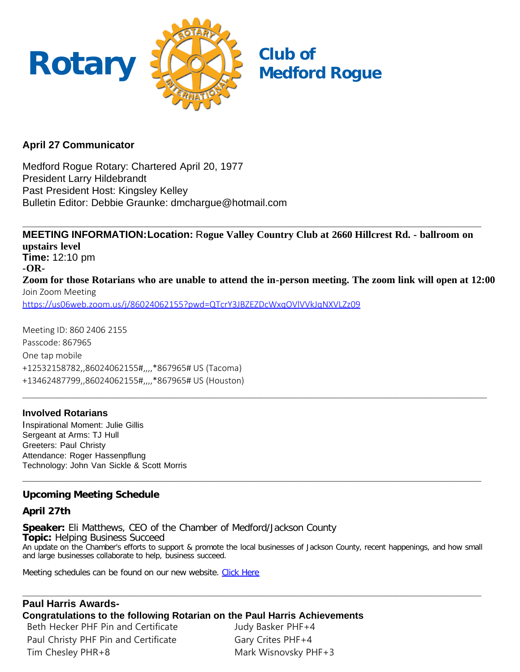

## **April 27 Communicator**

Medford Rogue Rotary: Chartered April 20, 1977 President Larry Hildebrandt Past President Host: Kingsley Kelley Bulletin Editor: Debbie Graunke: dmchargue@hotmail.com

**MEETING INFORMATION:Location:** R**ogue Valley Country Club at 2660 Hillcrest Rd. - ballroom on upstairs level Time:** 12:10 pm **-OR-Zoom for those Rotarians who are unable to attend the in-person meeting. The zoom link will open at 12:00** Join Zoom Meeting <https://us06web.zoom.us/j/86024062155?pwd=QTcrY3JBZEZDcWxqOVlVVkJqNXVLZz09>

**\_\_\_\_\_\_\_\_\_\_\_\_\_\_\_\_\_\_\_\_\_\_\_\_\_\_\_\_\_\_\_\_\_\_\_\_\_\_\_\_\_\_\_\_\_\_\_\_\_\_\_\_\_\_\_\_\_\_\_\_\_\_\_\_\_\_\_\_\_\_\_\_\_\_\_\_\_\_\_\_\_\_**

**\_\_\_\_\_\_\_\_\_\_\_\_\_\_\_\_\_\_\_\_\_\_\_\_\_\_\_\_\_\_\_\_\_\_\_\_\_\_\_\_\_\_\_\_\_\_\_\_\_\_\_\_\_\_\_\_\_\_\_\_\_\_\_\_\_\_\_\_\_\_\_\_\_\_\_\_\_\_\_\_\_**

Meeting ID: 860 2406 2155 Passcode: 867965 One tap mobile +12532158782,,86024062155#,,,,\*867965# US (Tacoma) +13462487799,,86024062155#,,,,\*867965# US (Houston)

## **Involved Rotarians**

Inspirational Moment: Julie Gillis Sergeant at Arms: TJ Hull Greeters: Paul Christy Attendance: Roger Hassenpflung Technology: John Van Sickle & Scott Morris

## **Upcoming Meeting Schedule**

## **April 27th**

**Speaker:** Eli Matthews, CEO of the Chamber of Medford/Jackson County **Topic:** Helping Business Succeed An update on the Chamber's efforts to support & promote the local businesses of Jackson County, recent happenings, and how small and large businesses collaborate to help, business succeed.

**\_\_\_\_\_\_\_\_\_\_\_\_\_\_\_\_\_\_\_\_\_\_\_\_\_\_\_\_\_\_\_\_\_\_\_\_\_\_\_\_\_\_\_\_\_\_\_\_\_\_\_\_\_\_\_\_\_\_\_\_\_\_\_\_\_\_\_\_\_\_\_\_\_\_\_\_\_\_\_\_\_**

**\_\_\_\_\_\_\_\_\_\_\_\_\_\_\_\_\_\_\_\_\_\_\_\_\_\_\_\_\_\_\_\_\_\_\_\_\_\_\_\_\_\_\_\_\_\_\_\_\_\_\_\_\_\_\_\_\_\_\_\_\_\_\_\_\_\_\_\_\_\_\_\_\_\_\_\_\_\_\_\_\_**

Meeting schedules can be found on our new website. [Click Here](https://medfordrogue.org/)

## **Paul Harris Awards-**

**Congratulations to the following Rotarian on the Paul Harris Achievements**

Beth Hecker PHF Pin and Certificate Paul Christy PHF Pin and Certificate Tim Chesley PHR+8

Judy Basker PHF+4 Gary Crites PHF+4 Mark Wisnovsky PHF+3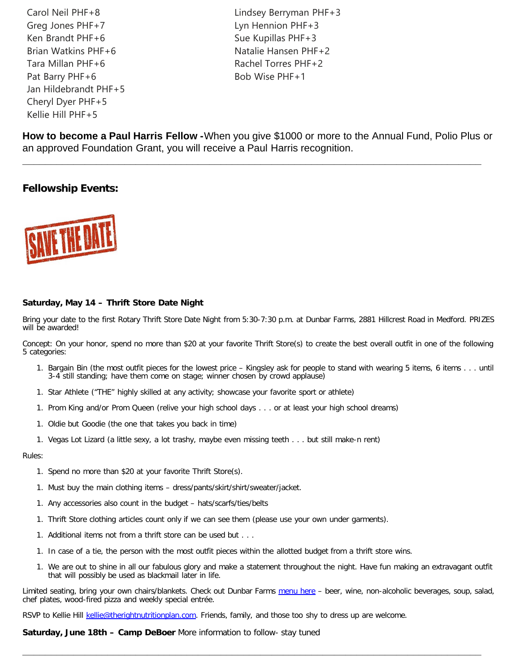Carol Neil PHF+8 Greg Jones PHF+7 Ken Brandt PHF+6 Brian Watkins PHF+6 Tara Millan PHF+6 Pat Barry PHF+6 Jan Hildebrandt PHF+5 Cheryl Dyer PHF+5 Kellie Hill PHF+5

Lindsey Berryman PHF+3 Lyn Hennion PHF+3 Sue Kupillas PHF+3 Natalie Hansen PHF+2 Rachel Torres PHF+2 Bob Wise PHF+1

**How to become a Paul Harris Fellow -**When you give \$1000 or more to the Annual Fund, Polio Plus or an approved Foundation Grant, you will receive a Paul Harris recognition.

**\_\_\_\_\_\_\_\_\_\_\_\_\_\_\_\_\_\_\_\_\_\_\_\_\_\_\_\_\_\_\_\_\_\_\_\_\_\_\_\_\_\_\_\_\_\_\_\_\_\_\_\_\_\_\_\_\_\_\_\_\_\_\_\_\_\_\_\_\_\_\_\_\_\_\_\_\_\_\_\_\_**

## **Fellowship Events:**



### **Saturday, May 14 – Thrift Store Date Night**

Bring your date to the first Rotary Thrift Store Date Night from 5:30-7:30 p.m. at Dunbar Farms, 2881 Hillcrest Road in Medford. PRIZES will be awarded!

Concept: On your honor, spend no more than \$20 at your favorite Thrift Store(s) to create the best overall outfit in one of the following 5 categories:

- 1. Bargain Bin (the most outfit pieces for the lowest price Kingsley ask for people to stand with wearing 5 items, 6 items . . . until 3-4 still standing; have them come on stage; winner chosen by crowd applause)
- 1. Star Athlete ("THE" highly skilled at any activity; showcase your favorite sport or athlete)
- 1. Prom King and/or Prom Queen (relive your high school days . . . or at least your high school dreams)
- 1. Oldie but Goodie (the one that takes you back in time)
- 1. Vegas Lot Lizard (a little sexy, a lot trashy, maybe even missing teeth . . . but still make-n rent)

#### Rules:

- 1. Spend no more than \$20 at your favorite Thrift Store(s).
- 1. Must buy the main clothing items dress/pants/skirt/shirt/sweater/jacket.
- 1. Any accessories also count in the budget hats/scarfs/ties/belts
- 1. Thrift Store clothing articles count only if we can see them (please use your own under garments).
- 1. Additional items not from a thrift store can be used but . . .
- 1. In case of a tie, the person with the most outfit pieces within the allotted budget from a thrift store wins.
- 1. We are out to shine in all our fabulous glory and make a statement throughout the night. Have fun making an extravagant outfit that will possibly be used as blackmail later in life.

Limited seating, bring your own chairs/blankets. Check out Dunbar Farms [menu here](mailto:https://www.dunbarfarms.com/menu) - beer, wine, non-alcoholic beverages, soup, salad, chef plates, wood-fired pizza and weekly special entrée.

**\_\_\_\_\_\_\_\_\_\_\_\_\_\_\_\_\_\_\_\_\_\_\_\_\_\_\_\_\_\_\_\_\_\_\_\_\_\_\_\_\_\_\_\_\_\_\_\_\_\_\_\_\_\_\_\_\_\_\_\_\_\_\_\_\_\_\_\_\_\_\_\_\_\_\_\_\_\_\_\_\_**

RSVP to Kellie Hill [kellie@therightnutritionplan.com.](mailto:kellie@therightnutritionplan.com) Friends, family, and those too shy to dress up are welcome.

**Saturday, June 18th – Camp DeBoer** More information to follow- stay tuned